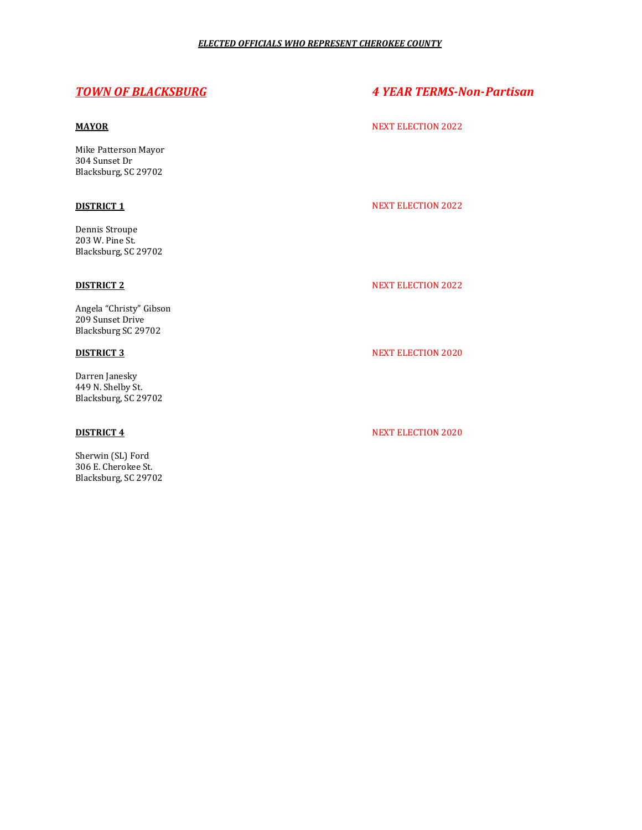Mike Patterson Mayor 304 Sunset Dr Blacksburg, SC 29702

Dennis Stroupe 203 W. Pine St. Blacksburg, SC 29702

Angela "Christy" Gibson 209 Sunset Drive Blacksburg SC 29702

Darren Janesky 449 N. Shelby St. Blacksburg, SC 29702

Sherwin (SL) Ford 306 E. Cherokee St. Blacksburg, SC 29702

# *TOWN OF BLACKSBURG 4 YEAR TERMS-Non-Partisan*

### **MAYOR** NEXT ELECTION 2022

# **DISTRICT 1** NEXT ELECTION 2022

## **DISTRICT 2** NEXT ELECTION 2022

# **DISTRICT 3** NEXT ELECTION 2020

## **DISTRICT 4** NEXT ELECTION 2020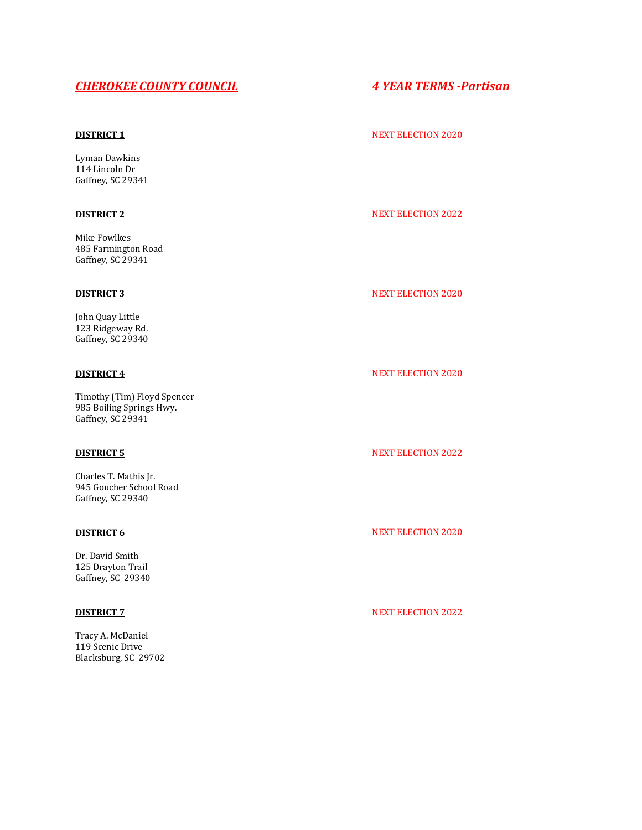# *CHEROKEE COUNTY COUNCIL 4 YEAR TERMS -Partisan*

Lyman Dawkins 114 Lincoln Dr Gaffney, SC 29341

Mike Fowlkes 485 Farmington Road Gaffney, SC 29341

John Quay Little 123 Ridgeway Rd. Gaffney, SC 29340

Timothy (Tim) Floyd Spencer 985 Boiling Springs Hwy. Gaffney, SC 29341

Charles T. Mathis Jr. 945 Goucher School Road Gaffney, SC 29340

Dr. David Smith 125 Drayton Trail Gaffney, SC 29340

Tracy A. McDaniel 119 Scenic Drive Blacksburg, SC 29702

### **DISTRICT 1** NEXT ELECTION 2020

# **DISTRICT 2** NEXT ELECTION 2022

## **DISTRICT 3** NEXT ELECTION 2020

### **DISTRICT 4** NEXT ELECTION 2020

## **DISTRICT 5** NEXT ELECTION 2022

# **DISTRICT 6** NEXT ELECTION 2020

## **DISTRICT 7** NEXT ELECTION 2022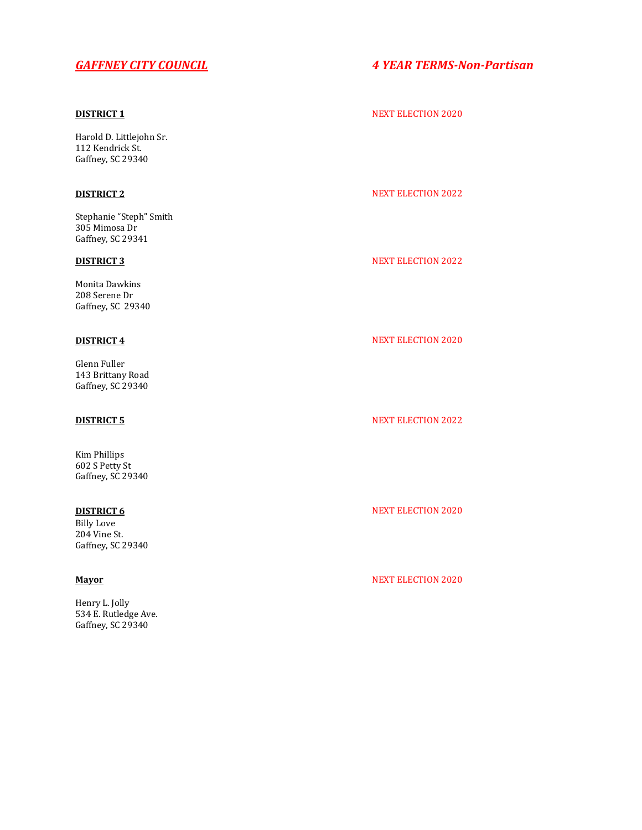Harold D. Littlejohn Sr. 112 Kendrick St. Gaffney, SC 29340

Stephanie "Steph" Smith 305 Mimosa Dr Gaffney, SC 29341

Monita Dawkins 208 Serene Dr Gaffney, SC 29340

Glenn Fuller 143 Brittany Road Gaffney, SC 29340

Kim Phillips 602 S Petty St Gaffney, SC 29340

Billy Love 204 Vine St. Gaffney, SC 29340

Henry L. Jolly 534 E. Rutledge Ave. Gaffney, SC 29340

# *GAFFNEY CITY COUNCIL 4 YEAR TERMS-Non-Partisan*

### **DISTRICT 1** NEXT ELECTION 2020

## **DISTRICT 2** NEXT ELECTION 2022

# **DISTRICT 3** NEXT ELECTION 2022

# **DISTRICT 4** NEXT ELECTION 2020

## **DISTRICT 5** NEXT ELECTION 2022

## **DISTRICT 6** NEXT ELECTION 2020

# **Mayor** NEXT ELECTION 2020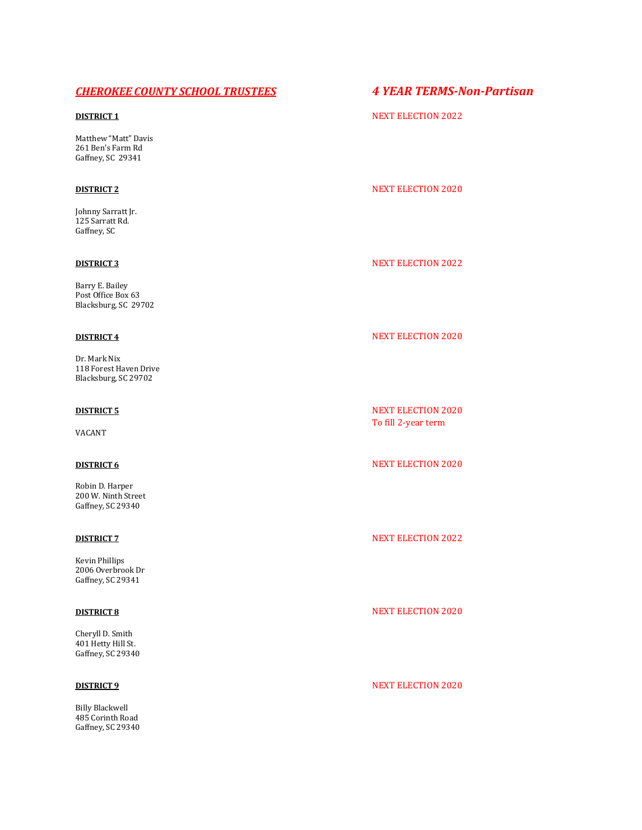# *CHEROKEE COUNTY SCHOOL TRUSTEES 4 YEAR TERMS-Non-Partisan*

Matthew "Matt" Davis 261 Ben's Farm Rd Gaffney, SC 29341

Johnny Sarratt Jr. 125 Sarratt Rd. Gaffney, SC

Barry E. Bailey Post Office Box 63 Blacksburg, SC 29702

Dr. Mark Nix 118 Forest Haven Drive Blacksburg, SC 29702

VACANT

Robin D. Harper 200 W. Ninth Street Gaffney, SC 29340

Kevin Phillips 2006 Overbrook Dr Gaffney, SC 29341

Cheryll D. Smith 401 Hetty Hill St. Gaffney, SC 29340

Billy Blackwell 485 Corinth Road Gaffney, SC 29340

# **DISTRICT 1** NEXT ELECTION 2022

# **DISTRICT 2** NEXT ELECTION 2020

### **DISTRICT 3** NEXT ELECTION 2022

# **DISTRICT 4** NEXT ELECTION 2020

**DISTRICT 5** NEXT ELECTION 2020 To fill 2-year term

### **DISTRICT 6** NEXT ELECTION 2020

### **DISTRICT 7** NEXT ELECTION 2022

## **DISTRICT 8** NEXT ELECTION 2020

# **DISTRICT 9** NEXT ELECTION 2020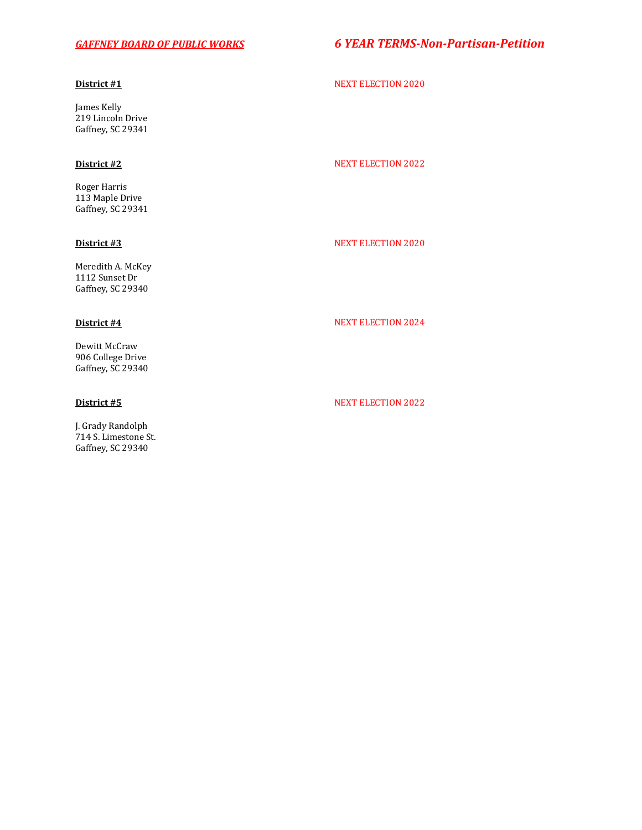# *GAFFNEY BOARD OF PUBLIC WORKS 6 YEAR TERMS-Non-Partisan-Petition*

James Kelly 219 Lincoln Drive Gaffney, SC 29341

Roger Harris 113 Maple Drive Gaffney, SC 29341

Meredith A. McKey 1112 Sunset Dr Gaffney, SC 29340

Dewitt McCraw 906 College Drive Gaffney, SC 29340

J. Grady Randolph 714 S. Limestone St. Gaffney, SC 29340

# **District #1** NEXT ELECTION 2020

### **District #2** NEXT ELECTION 2022

## **District #3** NEXT ELECTION 2020

# **District #4** NEXT ELECTION 2024

### **District #5** NEXT ELECTION 2022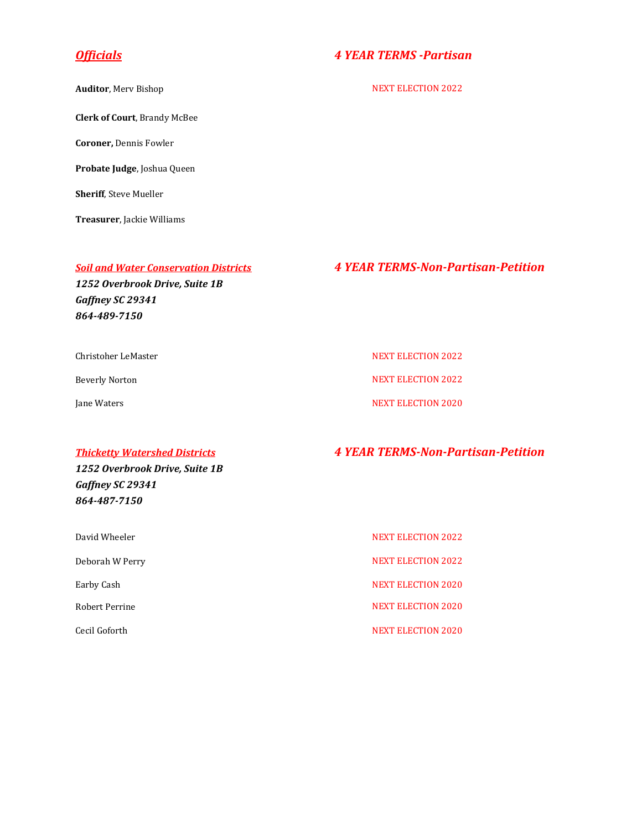**Clerk of Court**, Brandy McBee

**Coroner,** Dennis Fowler

**Probate Judge**, Joshua Queen

**Sheriff**, Steve Mueller

**Treasurer**, Jackie Williams

*1252 Overbrook Drive, Suite 1B Gaffney SC 29341 864-489-7150*

Christoher LeMaster New York 1999 (NEXT ELECTION 2022

# *Officials 4 YEAR TERMS -Partisan*

**Auditor**, Merv Bishop NEXT ELECTION 2022

# *Soil and Water Conservation Districts 4 YEAR TERMS-Non-Partisan-Petition*

Beverly Norton NEXT ELECTION 2022

Jane Waters NEXT ELECTION 2020

# *Thicketty Watershed Districts 4 YEAR TERMS-Non-Partisan-Petition*

*1252 Overbrook Drive, Suite 1B Gaffney SC 29341 864-487-7150*

| David Wheeler   | <b>NEXT ELECTION 2022</b> |
|-----------------|---------------------------|
| Deborah W Perry | <b>NEXT ELECTION 2022</b> |
| Earby Cash      | <b>NEXT ELECTION 2020</b> |
| Robert Perrine  | <b>NEXT ELECTION 2020</b> |
| Cecil Goforth   | <b>NEXT ELECTION 2020</b> |